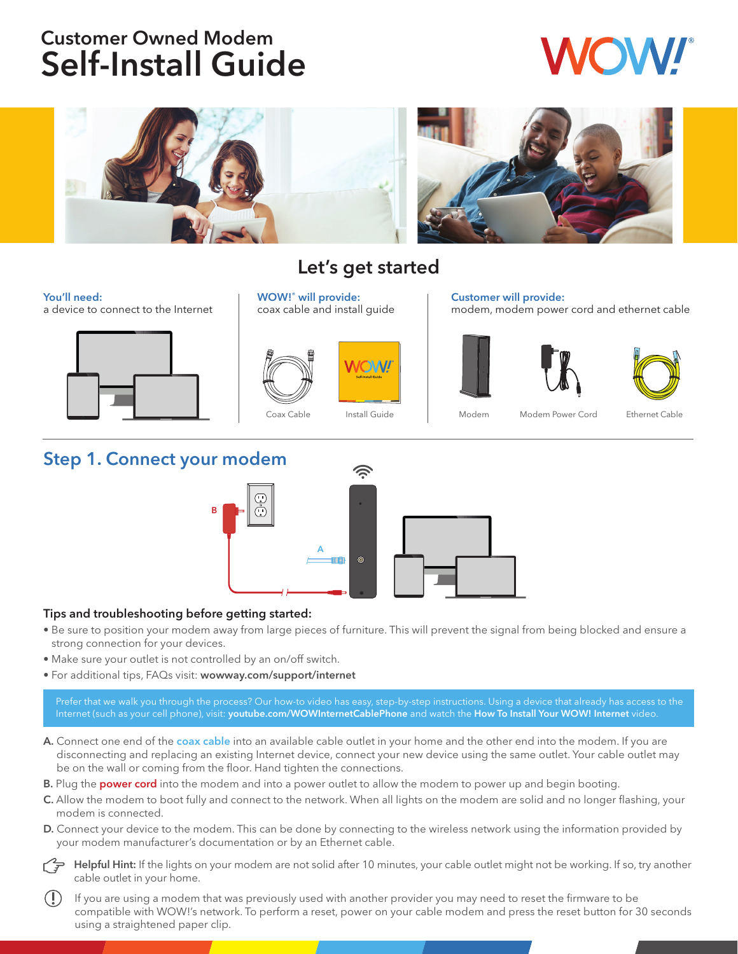# Customer Owned Modem Self-Install Guide



#### You'll need:

a device to connect to the Internet



# Let's get started

WOW!® will provide: coax cable and install guide





Customer will provide:



modem, modem power cord and ethernet cable



## Step 1. Connect your modem



#### Tips and troubleshooting before getting started:

- Be sure to position your modem away from large pieces of furniture. This will prevent the signal from being blocked and ensure a strong connection for your devices.
- Make sure your outlet is not controlled by an on/off switch.
- For additional tips, FAQs visit: wowway.com/support/internet

Prefer that we walk you through the process? Our how-to video has easy, step-by-step instructions. Using a device that already has access to the Internet (such as your cell phone), visit: youtube.com/WOWInternetCablePhone and watch the How To Install Your WOW! Internet video.

- A. Connect one end of the coax cable into an available cable outlet in your home and the other end into the modem. If you are disconnecting and replacing an existing Internet device, connect your new device using the same outlet. Your cable outlet may be on the wall or coming from the floor. Hand tighten the connections.
- B. Plug the power cord into the modem and into a power outlet to allow the modem to power up and begin booting.
- C. Allow the modem to boot fully and connect to the network. When all lights on the modem are solid and no longer flashing, your modem is connected.
- D. Connect your device to the modem. This can be done by connecting to the wireless network using the information provided by your modem manufacturer's documentation or by an Ethernet cable.

Helpful Hint: If the lights on your modem are not solid after 10 minutes, your cable outlet might not be working. If so, try another cable outlet in your home.

 If you are using a modem that was previously used with another provider you may need to reset the firmware to be compatible with WOW!'s network. To perform a reset, power on your cable modem and press the reset button for 30 seconds using a straightened paper clip.